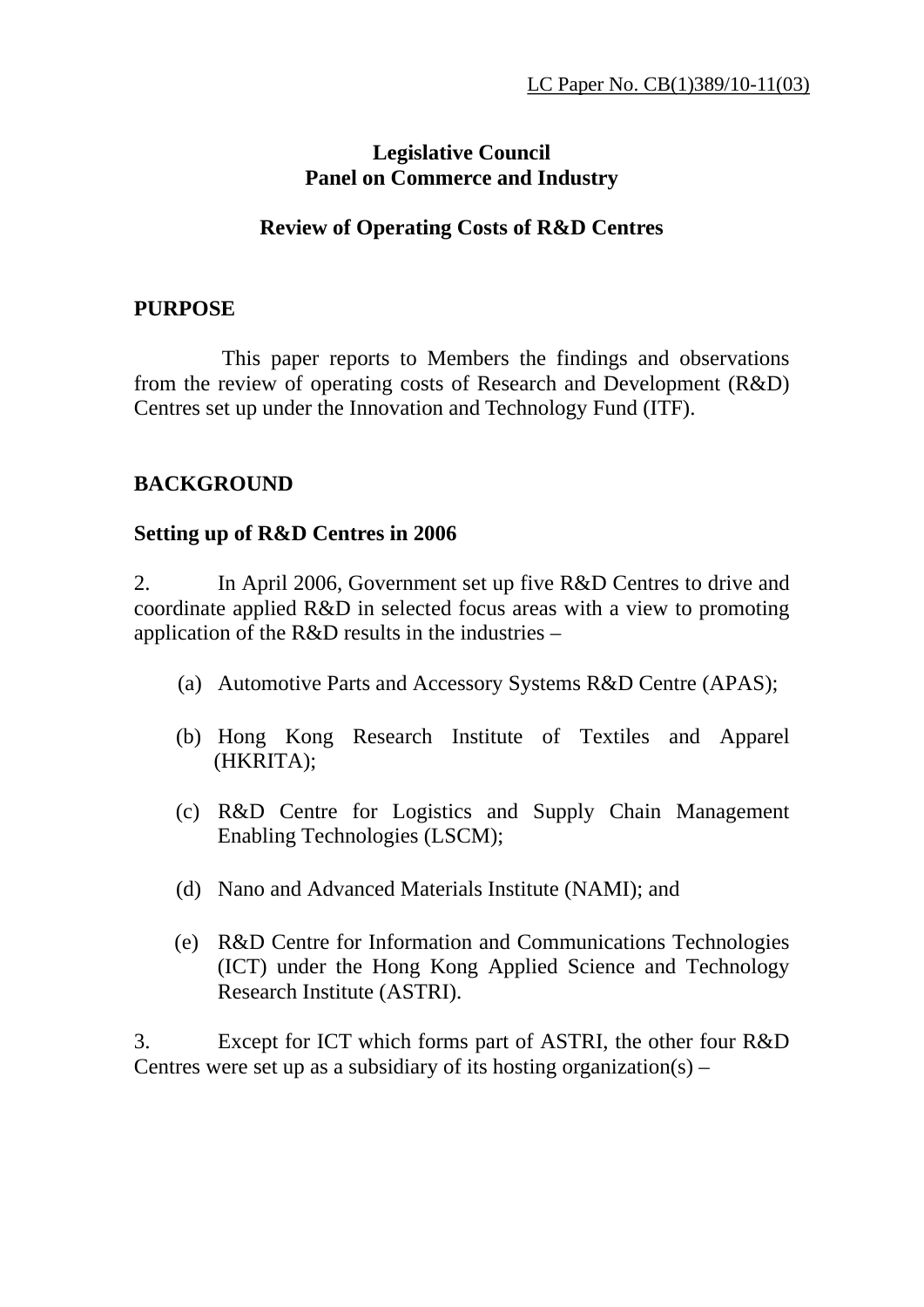### **Legislative Council Panel on Commerce and Industry**

#### **Review of Operating Costs of R&D Centres**

#### **PURPOSE**

 This paper reports to Members the findings and observations from the review of operating costs of Research and Development (R&D) Centres set up under the Innovation and Technology Fund (ITF).

### **BACKGROUND**

#### **Setting up of R&D Centres in 2006**

2. In April 2006, Government set up five R&D Centres to drive and coordinate applied R&D in selected focus areas with a view to promoting application of the R&D results in the industries –

- (a) Automotive Parts and Accessory Systems R&D Centre (APAS);
- (b) Hong Kong Research Institute of Textiles and Apparel (HKRITA);
- (c) R&D Centre for Logistics and Supply Chain Management Enabling Technologies (LSCM);
- (d) Nano and Advanced Materials Institute (NAMI); and
- (e) R&D Centre for Information and Communications Technologies (ICT) under the Hong Kong Applied Science and Technology Research Institute (ASTRI).

3. Except for ICT which forms part of ASTRI, the other four R&D Centres were set up as a subsidiary of its hosting organization(s) –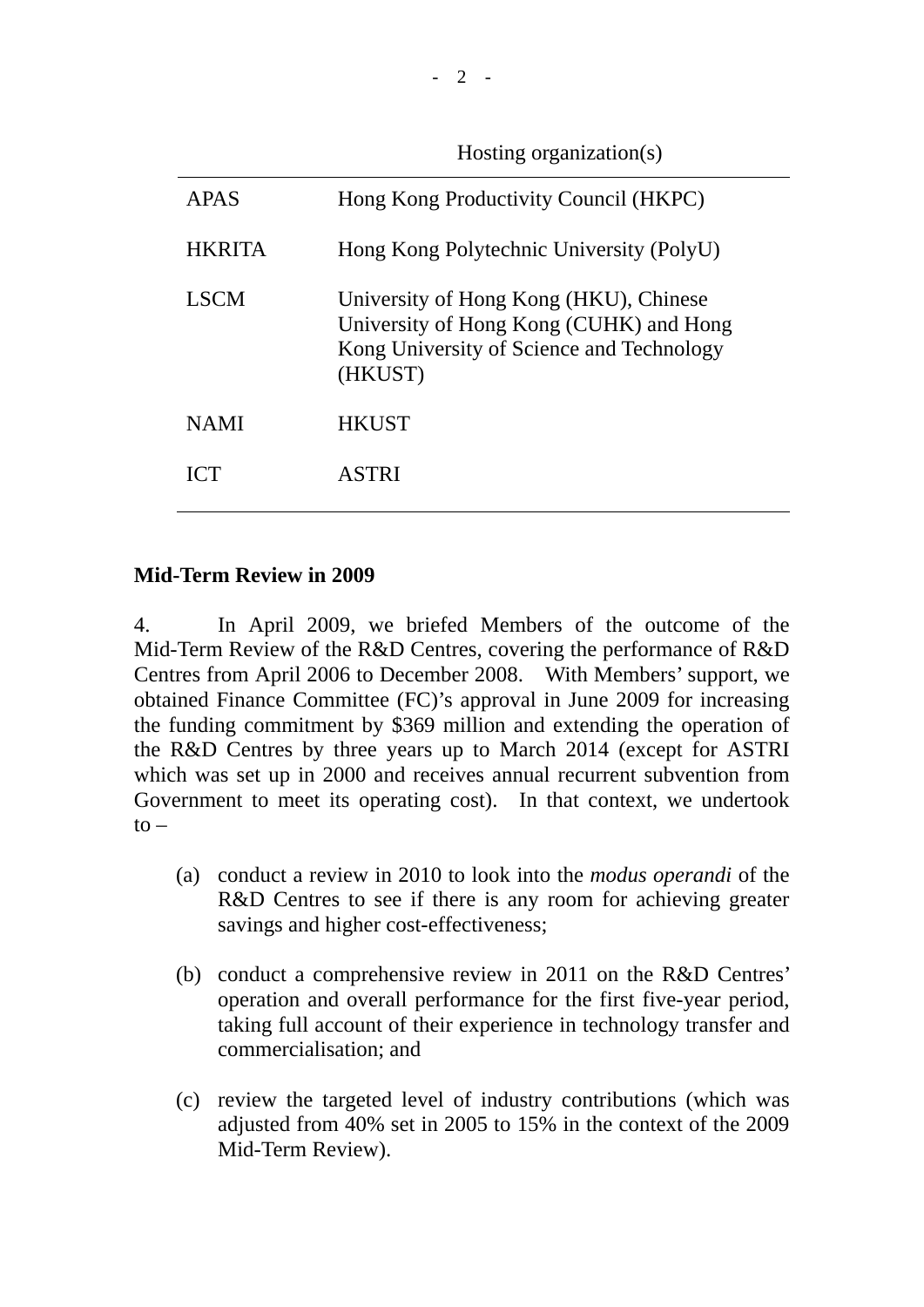Hosting organization(s)

| Hong Kong Productivity Council (HKPC)                                                                                                     |
|-------------------------------------------------------------------------------------------------------------------------------------------|
| Hong Kong Polytechnic University (PolyU)                                                                                                  |
| University of Hong Kong (HKU), Chinese<br>University of Hong Kong (CUHK) and Hong<br>Kong University of Science and Technology<br>(HKUST) |
| <b>HKUST</b>                                                                                                                              |
| <b>ASTRI</b>                                                                                                                              |
|                                                                                                                                           |

### **Mid-Term Review in 2009**

4. In April 2009, we briefed Members of the outcome of the Mid-Term Review of the R&D Centres, covering the performance of R&D Centres from April 2006 to December 2008. With Members' support, we obtained Finance Committee (FC)'s approval in June 2009 for increasing the funding commitment by \$369 million and extending the operation of the R&D Centres by three years up to March 2014 (except for ASTRI which was set up in 2000 and receives annual recurrent subvention from Government to meet its operating cost). In that context, we undertook  $to -$ 

- (a) conduct a review in 2010 to look into the *modus operandi* of the R&D Centres to see if there is any room for achieving greater savings and higher cost-effectiveness;
- (b) conduct a comprehensive review in 2011 on the R&D Centres' operation and overall performance for the first five-year period, taking full account of their experience in technology transfer and commercialisation; and
- (c) review the targeted level of industry contributions (which was adjusted from 40% set in 2005 to 15% in the context of the 2009 Mid-Term Review).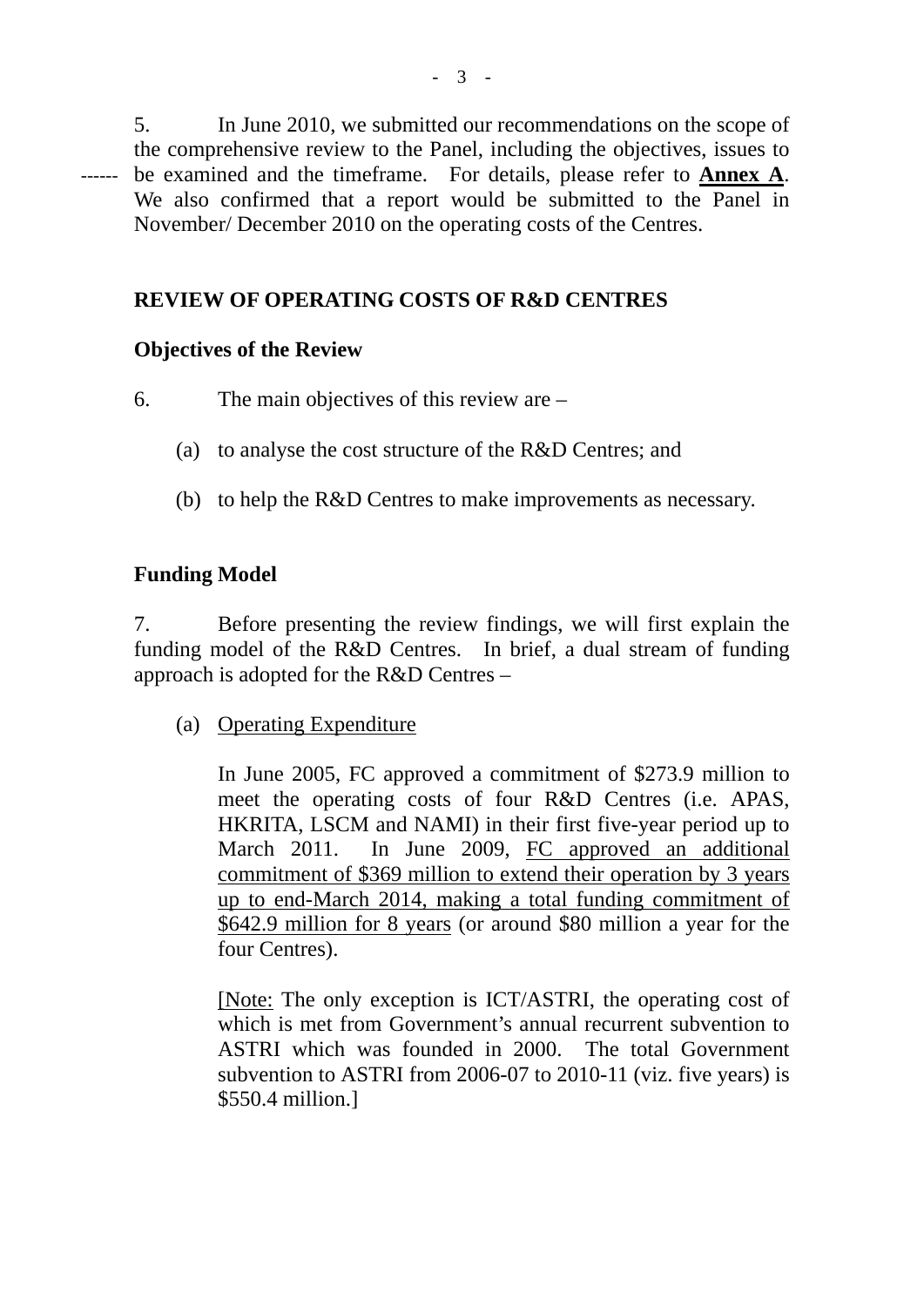5. In June 2010, we submitted our recommendations on the scope of the comprehensive review to the Panel, including the objectives, issues to be examined and the timeframe. For details, please refer to **Annex A**. We also confirmed that a report would be submitted to the Panel in November/ December 2010 on the operating costs of the Centres. ------

# **REVIEW OF OPERATING COSTS OF R&D CENTRES**

### **Objectives of the Review**

- 6. The main objectives of this review are
	- (a) to analyse the cost structure of the R&D Centres; and
	- (b) to help the R&D Centres to make improvements as necessary.

## **Funding Model**

7. Before presenting the review findings, we will first explain the funding model of the R&D Centres. In brief, a dual stream of funding approach is adopted for the R&D Centres –

(a) Operating Expenditure

In June 2005, FC approved a commitment of \$273.9 million to meet the operating costs of four R&D Centres (i.e. APAS, HKRITA, LSCM and NAMI) in their first five-year period up to March 2011. In June 2009, FC approved an additional commitment of \$369 million to extend their operation by 3 years up to end-March 2014, making a total funding commitment of \$642.9 million for 8 years (or around \$80 million a year for the four Centres).

[Note: The only exception is ICT/ASTRI, the operating cost of which is met from Government's annual recurrent subvention to ASTRI which was founded in 2000. The total Government subvention to ASTRI from 2006-07 to 2010-11 (viz. five years) is \$550.4 million.]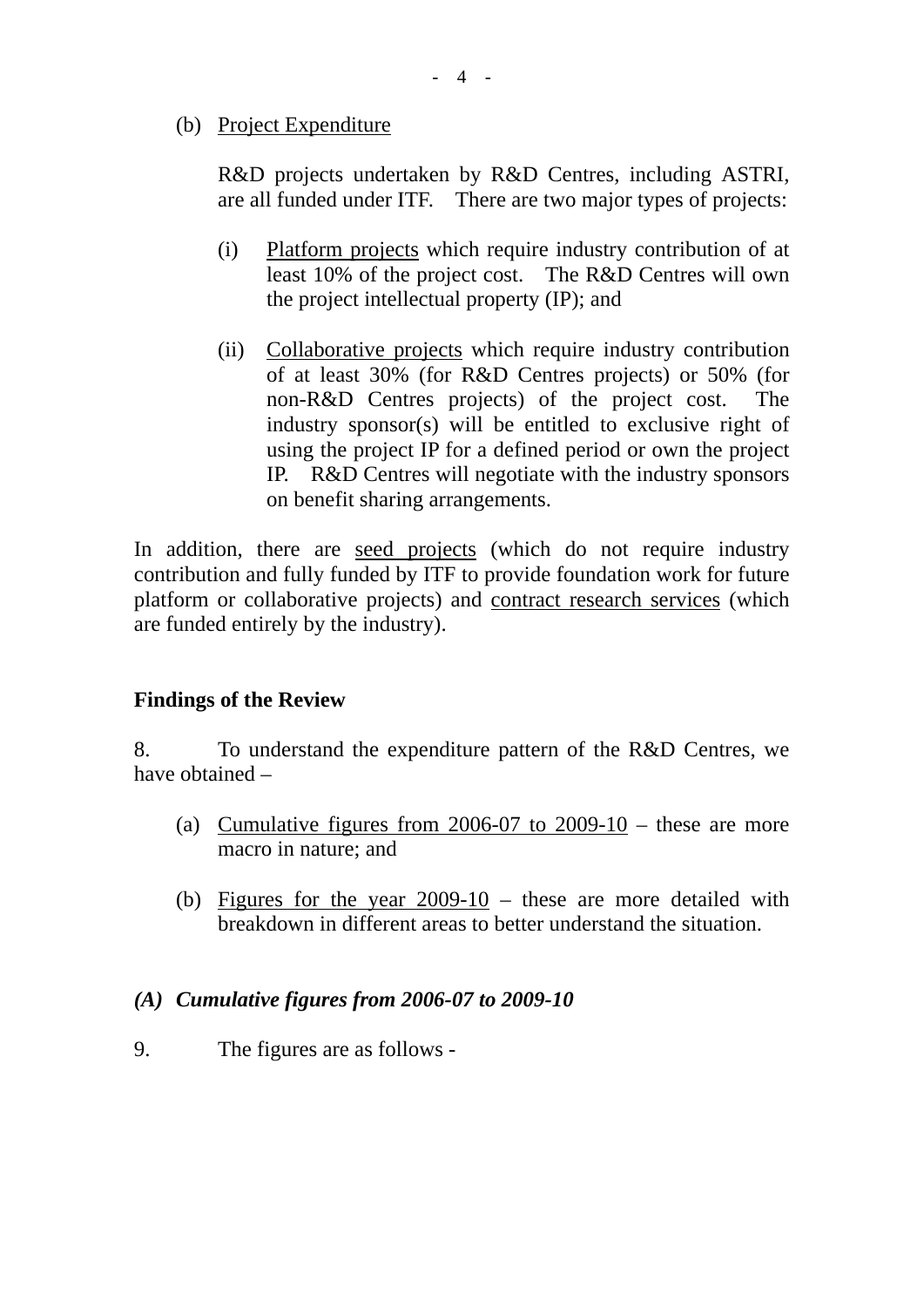(b) Project Expenditure

R&D projects undertaken by R&D Centres, including ASTRI, are all funded under ITF. There are two major types of projects:

- (i) Platform projects which require industry contribution of at least 10% of the project cost. The R&D Centres will own the project intellectual property (IP); and
- (ii) Collaborative projects which require industry contribution of at least 30% (for R&D Centres projects) or 50% (for non-R&D Centres projects) of the project cost. The industry sponsor(s) will be entitled to exclusive right of using the project IP for a defined period or own the project IP. R&D Centres will negotiate with the industry sponsors on benefit sharing arrangements.

In addition, there are seed projects (which do not require industry contribution and fully funded by ITF to provide foundation work for future platform or collaborative projects) and contract research services (which are funded entirely by the industry).

### **Findings of the Review**

8. To understand the expenditure pattern of the R&D Centres, we have obtained –

- (a) Cumulative figures from  $2006-07$  to  $2009-10$  these are more macro in nature; and
- (b) Figures for the year 2009-10 these are more detailed with breakdown in different areas to better understand the situation.

### *(A) Cumulative figures from 2006-07 to 2009-10*

9. The figures are as follows -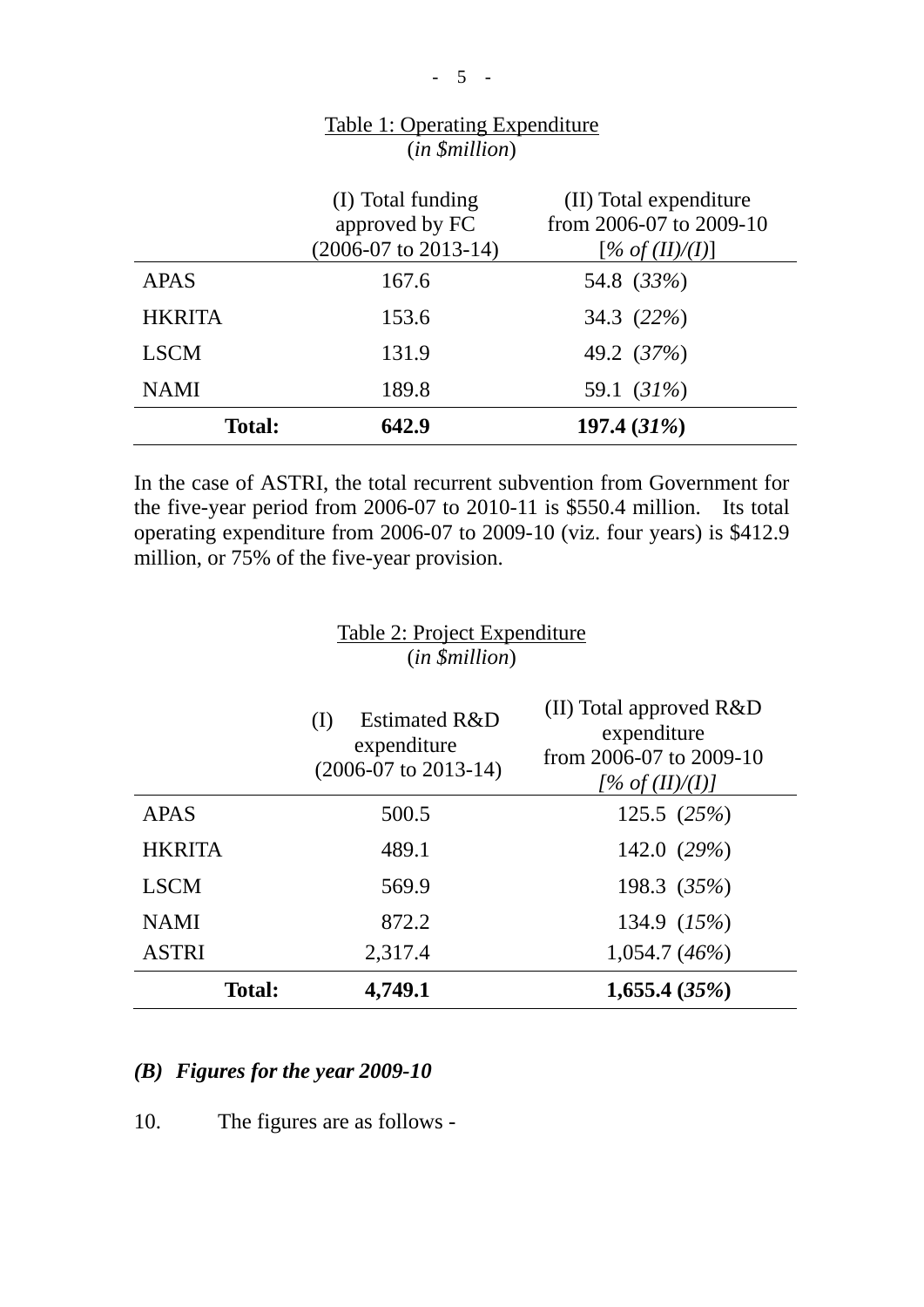|               | (I) Total funding<br>approved by FC<br>$(2006-07 \text{ to } 2013-14)$ | (II) Total expenditure<br>from 2006-07 to 2009-10<br>$[\% \ of (II)/(I)]$ |
|---------------|------------------------------------------------------------------------|---------------------------------------------------------------------------|
| <b>APAS</b>   | 167.6                                                                  | 54.8 (33%)                                                                |
| <b>HKRITA</b> | 153.6                                                                  | 34.3 (22%)                                                                |
| <b>LSCM</b>   | 131.9                                                                  | 49.2 (37%)                                                                |
| <b>NAMI</b>   | 189.8                                                                  | 59.1 (31%)                                                                |
| Total:        | 642.9                                                                  | 197.4 $(31\%)$                                                            |

#### Table 1: Operating Expenditure (*in \$million*)

In the case of ASTRI, the total recurrent subvention from Government for the five-year period from 2006-07 to 2010-11 is \$550.4 million. Its total operating expenditure from 2006-07 to 2009-10 (viz. four years) is \$412.9 million, or 75% of the five-year provision.

#### Table 2: Project Expenditure (*in \$million*)

|               | <b>Estimated R&amp;D</b><br>(1)<br>expenditure<br>$(2006-07 \text{ to } 2013-14)$ | (II) Total approved R&D<br>expenditure<br>from 2006-07 to 2009-10<br>[% of $(II)/(I)$ ] |
|---------------|-----------------------------------------------------------------------------------|-----------------------------------------------------------------------------------------|
| <b>APAS</b>   | 500.5                                                                             | 125.5 $(25%)$                                                                           |
| <b>HKRITA</b> | 489.1                                                                             | 142.0 $(29%)$                                                                           |
| <b>LSCM</b>   | 569.9                                                                             | 198.3 (35%)                                                                             |
| <b>NAMI</b>   | 872.2                                                                             | 134.9 (15%)                                                                             |
| <b>ASTRI</b>  | 2,317.4                                                                           | $1,054.7(46\%)$                                                                         |
| <b>Total:</b> | 4,749.1                                                                           | 1,655.4(35%)                                                                            |

### *(B) Figures for the year 2009-10*

10. The figures are as follows -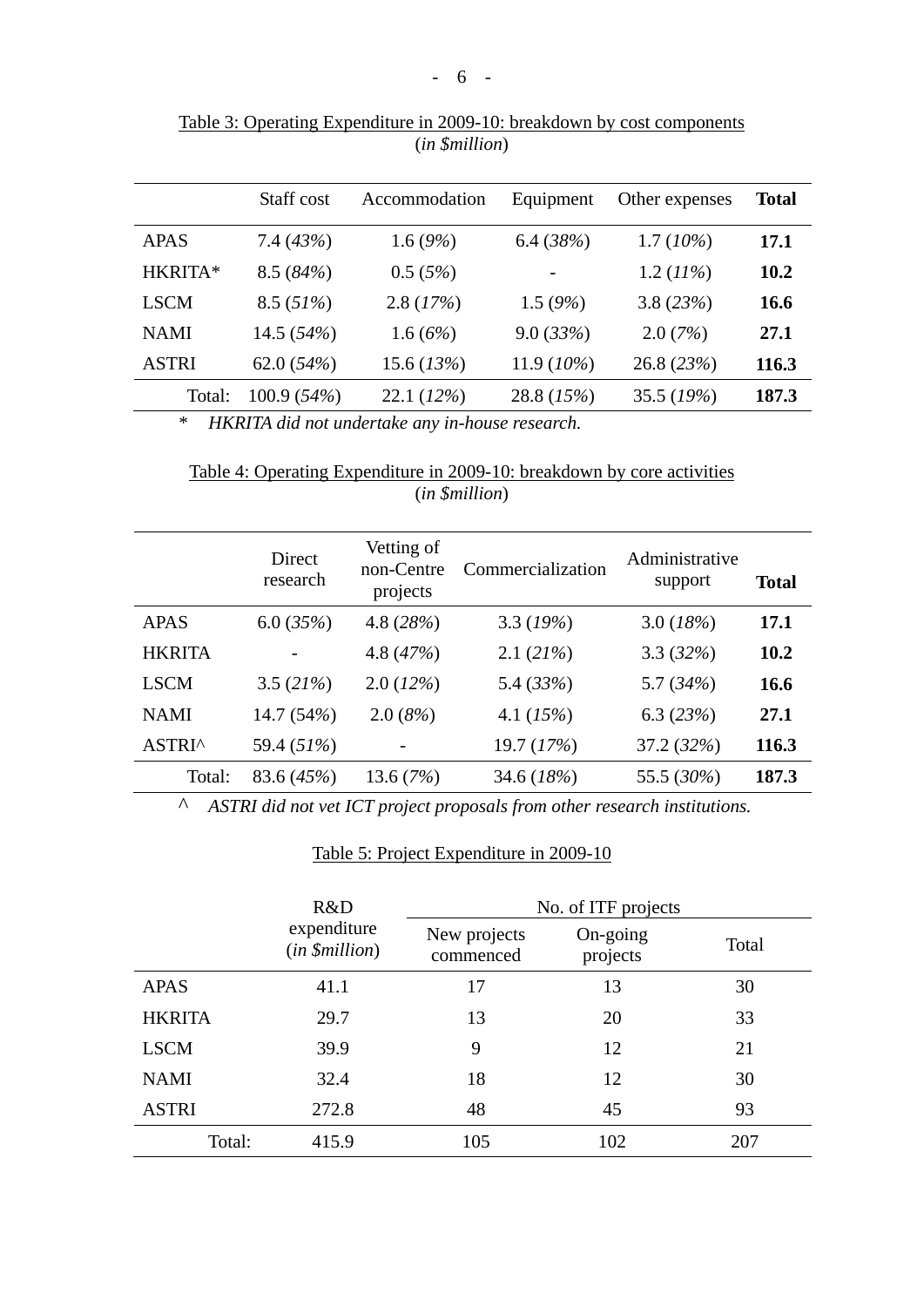|              | Staff cost     | Accommodation | Equipment     | Other expenses | <b>Total</b> |
|--------------|----------------|---------------|---------------|----------------|--------------|
| <b>APAS</b>  | 7.4 $(43%)$    | 1.6 $(9%)$    | 6.4 $(38%)$   | $1.7(10\%)$    | 17.1         |
| HKRITA*      | 8.5(84%)       | 0.5(5%)       |               | 1.2 $(11\%)$   | 10.2         |
| <b>LSCM</b>  | 8.5(51%)       | 2.8(17%)      | 1.5 $(9%)$    | 3.8(23%)       | 16.6         |
| <b>NAMI</b>  | 14.5 $(54%)$   | 1.6 $(6%)$    | 9.0(33%)      | 2.0(7%)        | 27.1         |
| <b>ASTRI</b> | 62.0 $(54%)$   | 15.6 $(13%)$  | 11.9 $(10\%)$ | 26.8 (23%)     | 116.3        |
| Total:       | 100.9 $(54\%)$ | 22.1(12%)     | 28.8 (15%)    | 35.5 (19%)     | 187.3        |

Table 3: Operating Expenditure in 2009-10: breakdown by cost components (*in \$million*)

*\* HKRITA did not undertake any in-house research.* 

Table 4: Operating Expenditure in 2009-10: breakdown by core activities (*in \$million*)

|               | Direct<br>research | Vetting of<br>non-Centre<br>projects | Commercialization | Administrative<br>support | Total |
|---------------|--------------------|--------------------------------------|-------------------|---------------------------|-------|
| <b>APAS</b>   | 6.0(35%)           | 4.8 $(28%)$                          | 3.3 $(19%)$       | 3.0 $(18%)$               | 17.1  |
| <b>HKRITA</b> |                    | 4.8 $(47%)$                          | 2.1(21%)          | 3.3(32%)                  | 10.2  |
| <b>LSCM</b>   | 3.5 $(21%)$        | 2.0(12%)                             | 5.4 $(33%)$       | 5.7 $(34%)$               | 16.6  |
| <b>NAMI</b>   | 14.7 (54%)         | 2.0(8%)                              | 4.1 $(15%)$       | 6.3 $(23%)$               | 27.1  |
| ASTRI^        | 59.4 (51%)         |                                      | 19.7 (17%)        | 37.2 (32%)                | 116.3 |
| Total:        | 83.6 (45%)         | 13.6 $(7%)$                          | 34.6 (18%)        | 55.5 (30%)                | 187.3 |

*^ ASTRI did not vet ICT project proposals from other research institutions.* 

#### Table 5: Project Expenditure in 2009-10

|               | R&D                           |                           | No. of ITF projects  |       |
|---------------|-------------------------------|---------------------------|----------------------|-------|
|               | expenditure<br>(in \$million) | New projects<br>commenced | On-going<br>projects | Total |
| <b>APAS</b>   | 41.1                          | 17                        | 13                   | 30    |
| <b>HKRITA</b> | 29.7                          | 13                        | 20                   | 33    |
| <b>LSCM</b>   | 39.9                          | 9                         | 12                   | 21    |
| <b>NAMI</b>   | 32.4                          | 18                        | 12                   | 30    |
| <b>ASTRI</b>  | 272.8                         | 48                        | 45                   | 93    |
| Total:        | 415.9                         | 105                       | 102                  | 207   |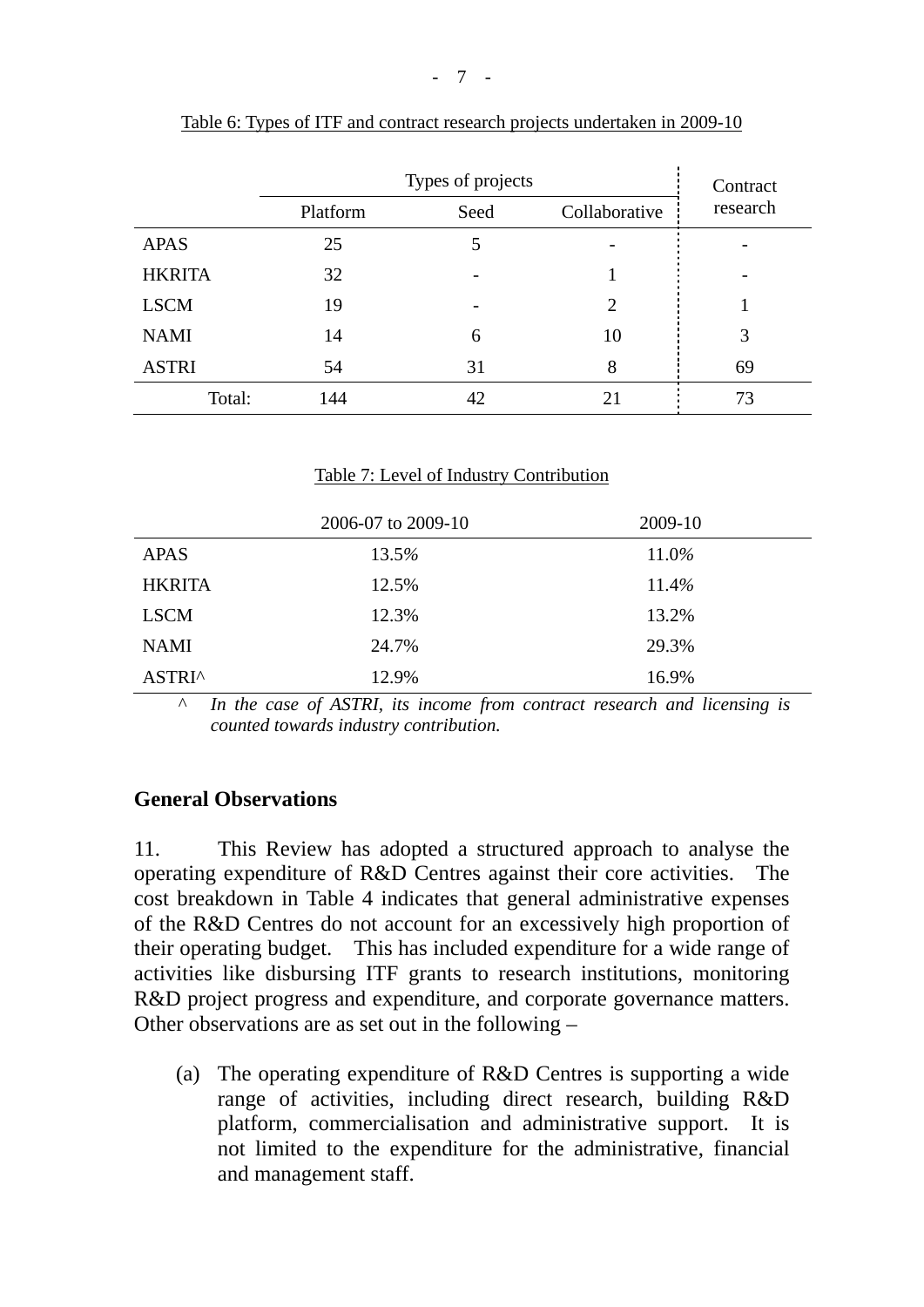|               | Types of projects |      |                | Contract |
|---------------|-------------------|------|----------------|----------|
|               | Platform          | Seed | Collaborative  | research |
| <b>APAS</b>   | 25                | 5    |                |          |
| <b>HKRITA</b> | 32                |      |                |          |
| <b>LSCM</b>   | 19                |      | $\overline{c}$ |          |
| <b>NAMI</b>   | 14                | 6    | 10             | 3        |
| <b>ASTRI</b>  | 54                | 31   | 8              | 69       |
| Total:        | 144               | 42   | 21             | 73       |

| Table 6: Types of ITF and contract research projects undertaken in 2009-10 |  |  |  |
|----------------------------------------------------------------------------|--|--|--|
|                                                                            |  |  |  |

#### Table 7: Level of Industry Contribution

|               | 2006-07 to 2009-10 | 2009-10 |
|---------------|--------------------|---------|
| <b>APAS</b>   | 13.5%              | 11.0%   |
| <b>HKRITA</b> | 12.5%              | 11.4%   |
| <b>LSCM</b>   | 12.3%              | 13.2%   |
| <b>NAMI</b>   | 24.7%              | 29.3%   |
| ASTRI^        | 12.9%              | 16.9%   |

*^ In the case of ASTRI, its income from contract research and licensing is counted towards industry contribution.* 

### **General Observations**

11. This Review has adopted a structured approach to analyse the operating expenditure of R&D Centres against their core activities. The cost breakdown in Table 4 indicates that general administrative expenses of the R&D Centres do not account for an excessively high proportion of their operating budget. This has included expenditure for a wide range of activities like disbursing ITF grants to research institutions, monitoring R&D project progress and expenditure, and corporate governance matters. Other observations are as set out in the following –

(a) The operating expenditure of R&D Centres is supporting a wide range of activities, including direct research, building R&D platform, commercialisation and administrative support. It is not limited to the expenditure for the administrative, financial and management staff.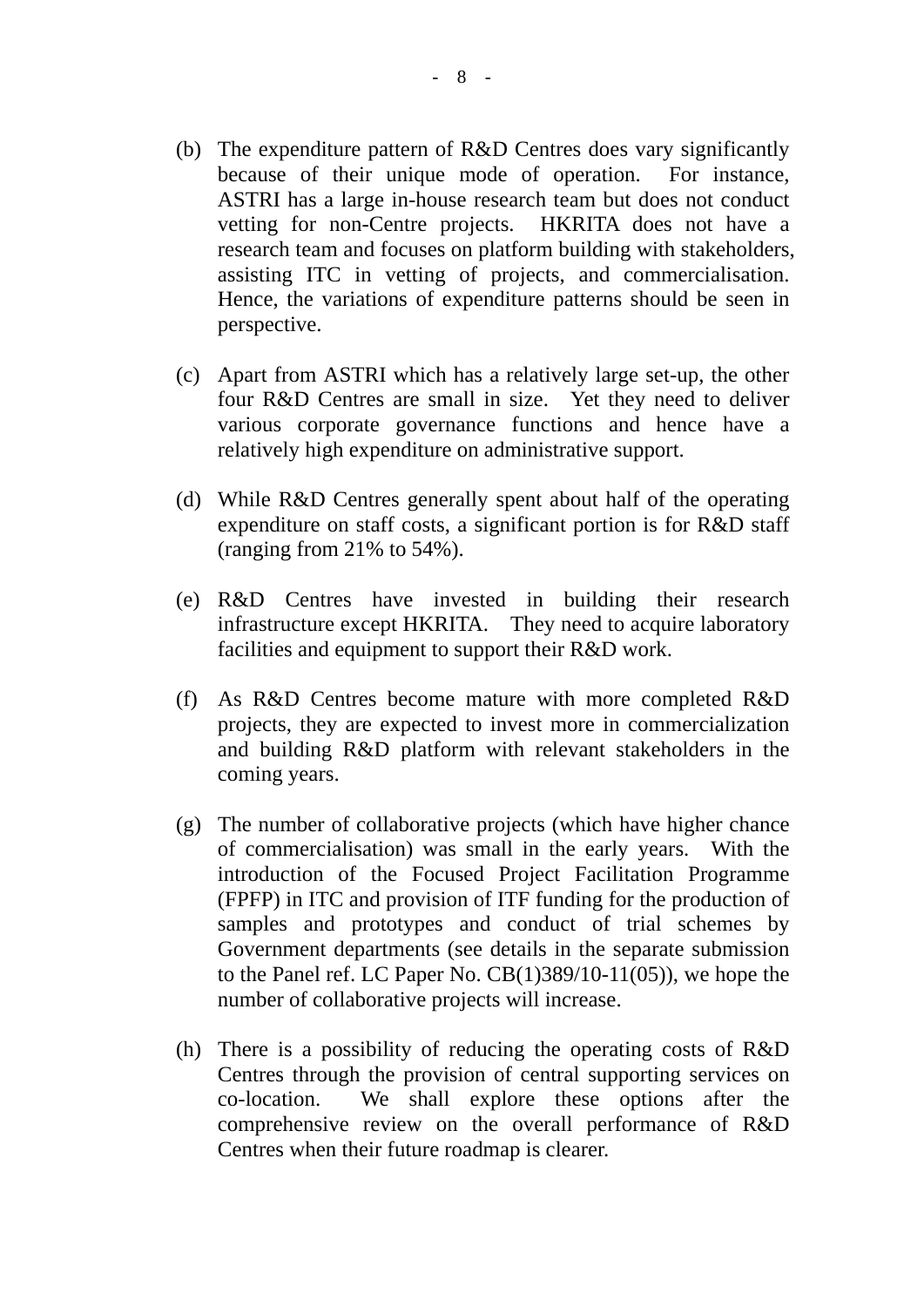- (b) The expenditure pattern of R&D Centres does vary significantly because of their unique mode of operation. For instance, ASTRI has a large in-house research team but does not conduct vetting for non-Centre projects. HKRITA does not have a research team and focuses on platform building with stakeholders, assisting ITC in vetting of projects, and commercialisation. Hence, the variations of expenditure patterns should be seen in perspective.
- (c) Apart from ASTRI which has a relatively large set-up, the other four R&D Centres are small in size. Yet they need to deliver various corporate governance functions and hence have a relatively high expenditure on administrative support.
- (d) While R&D Centres generally spent about half of the operating expenditure on staff costs, a significant portion is for R&D staff (ranging from 21% to 54%).
- (e) R&D Centres have invested in building their research infrastructure except HKRITA. They need to acquire laboratory facilities and equipment to support their R&D work.
- (f) As R&D Centres become mature with more completed R&D projects, they are expected to invest more in commercialization and building R&D platform with relevant stakeholders in the coming years.
- (g) The number of collaborative projects (which have higher chance of commercialisation) was small in the early years. With the introduction of the Focused Project Facilitation Programme (FPFP) in ITC and provision of ITF funding for the production of samples and prototypes and conduct of trial schemes by Government departments (see details in the separate submission to the Panel ref. LC Paper No. CB(1)389/10-11(05)), we hope the number of collaborative projects will increase.
- (h) There is a possibility of reducing the operating costs of R&D Centres through the provision of central supporting services on co-location. We shall explore these options after the comprehensive review on the overall performance of R&D Centres when their future roadmap is clearer.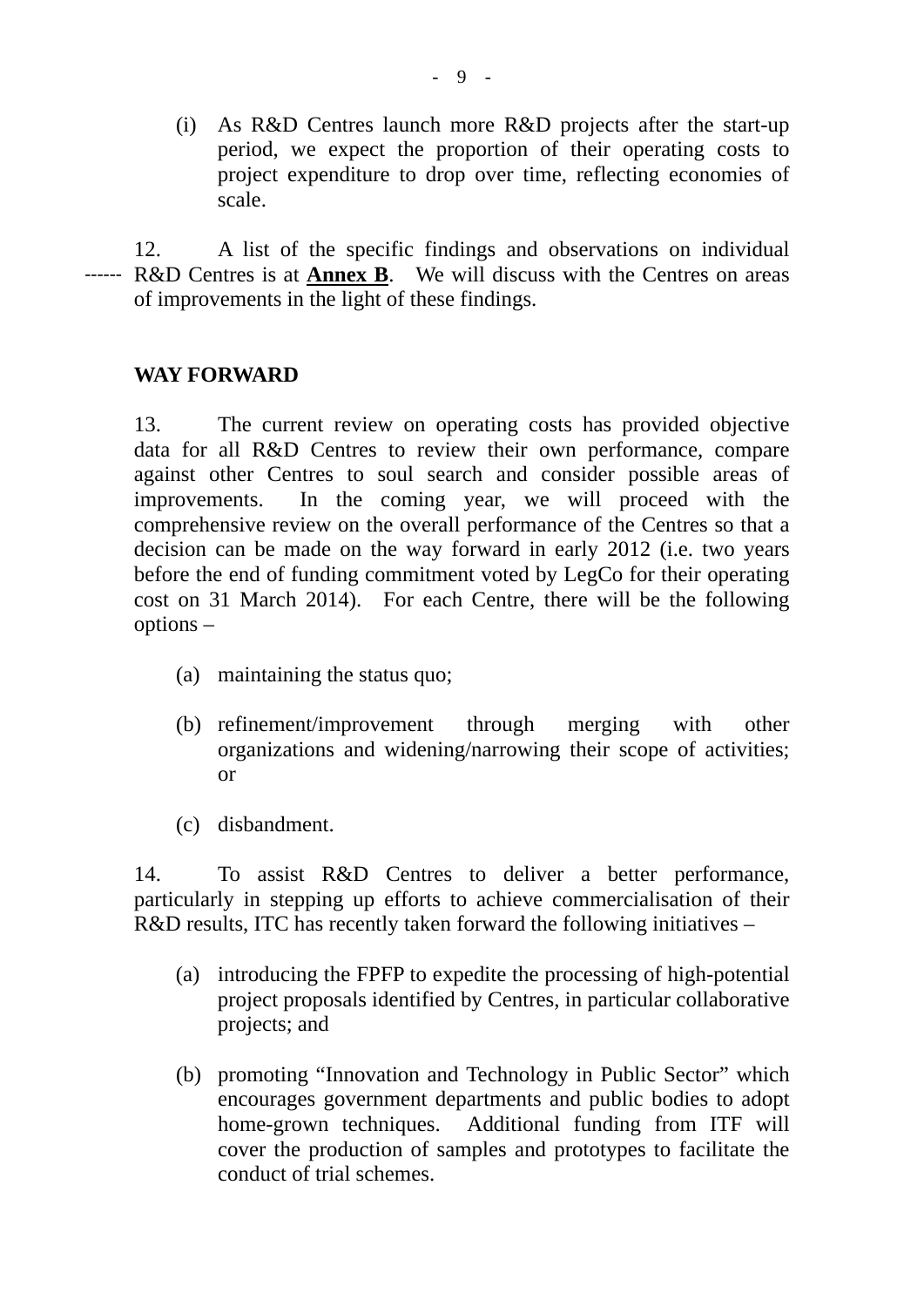(i) As R&D Centres launch more R&D projects after the start-up period, we expect the proportion of their operating costs to project expenditure to drop over time, reflecting economies of scale.

12. A list of the specific findings and observations on individual R&D Centres is at **Annex B**. We will discuss with the Centres on areas of improvements in the light of these findings. ------

### **WAY FORWARD**

13. The current review on operating costs has provided objective data for all R&D Centres to review their own performance, compare against other Centres to soul search and consider possible areas of improvements. In the coming year, we will proceed with the comprehensive review on the overall performance of the Centres so that a decision can be made on the way forward in early 2012 (i.e. two years before the end of funding commitment voted by LegCo for their operating cost on 31 March 2014). For each Centre, there will be the following options –

- (a) maintaining the status quo;
- (b) refinement/improvement through merging with other organizations and widening/narrowing their scope of activities; or
- (c) disbandment.

14. To assist R&D Centres to deliver a better performance, particularly in stepping up efforts to achieve commercialisation of their R&D results, ITC has recently taken forward the following initiatives –

- (a) introducing the FPFP to expedite the processing of high-potential project proposals identified by Centres, in particular collaborative projects; and
- (b) promoting "Innovation and Technology in Public Sector" which encourages government departments and public bodies to adopt home-grown techniques. Additional funding from ITF will cover the production of samples and prototypes to facilitate the conduct of trial schemes.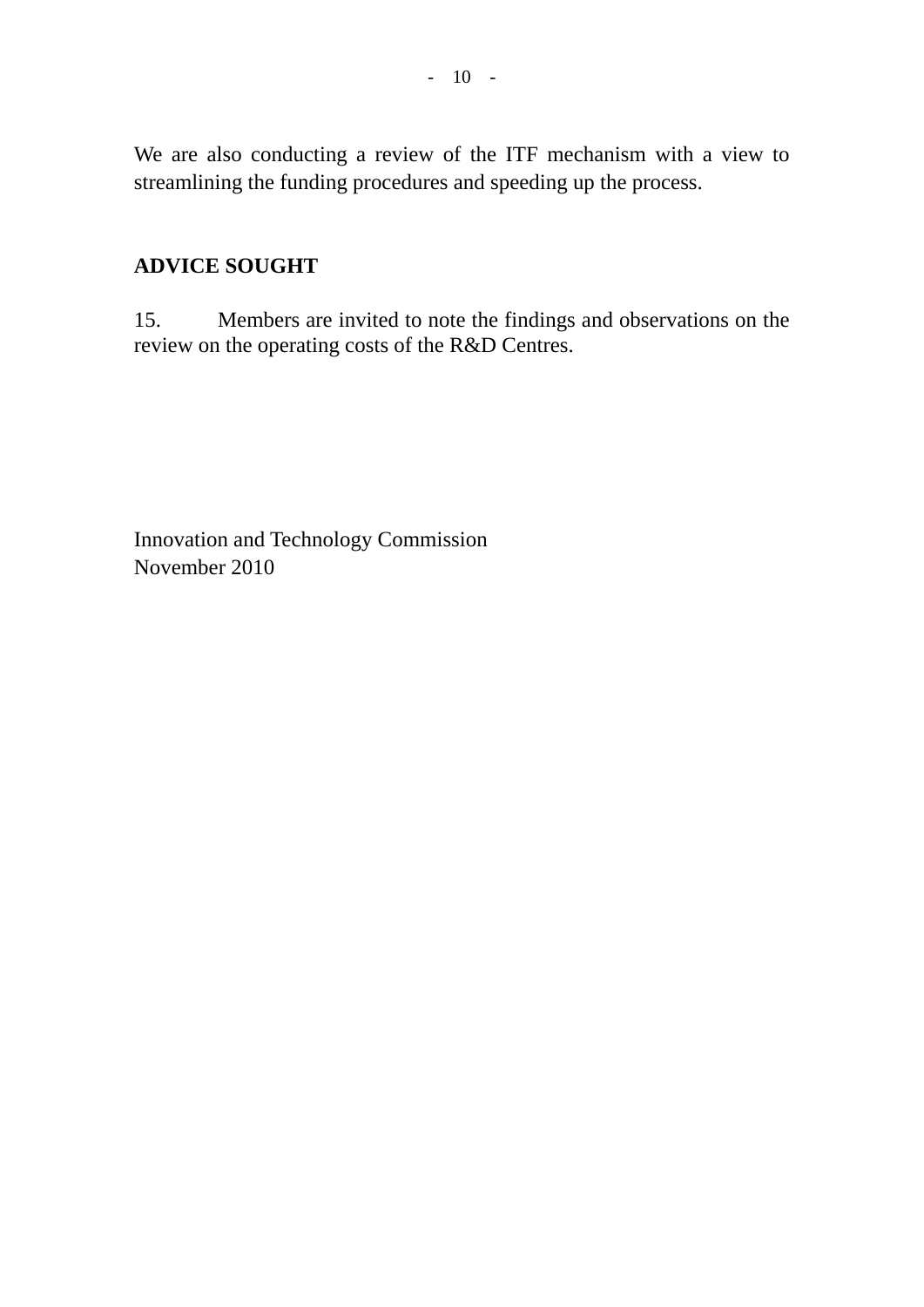We are also conducting a review of the ITF mechanism with a view to streamlining the funding procedures and speeding up the process.

# **ADVICE SOUGHT**

15. Members are invited to note the findings and observations on the review on the operating costs of the R&D Centres.

Innovation and Technology Commission November 2010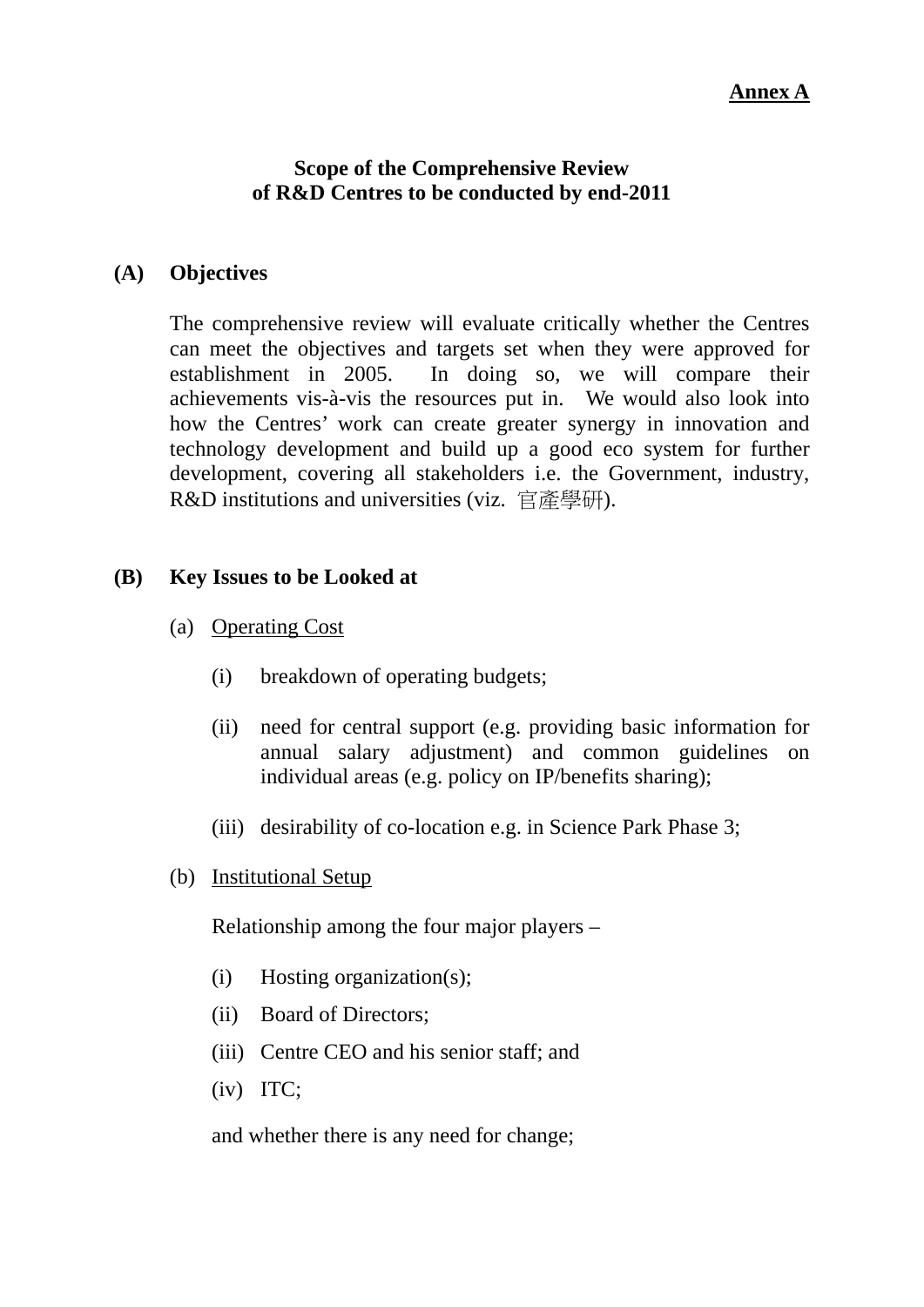#### **Annex A**

#### **Scope of the Comprehensive Review of R&D Centres to be conducted by end-2011**

#### **(A) Objectives**

The comprehensive review will evaluate critically whether the Centres can meet the objectives and targets set when they were approved for establishment in 2005. In doing so, we will compare their achievements vis-à-vis the resources put in. We would also look into how the Centres' work can create greater synergy in innovation and technology development and build up a good eco system for further development, covering all stakeholders i.e. the Government, industry, R&D institutions and universities (viz. 官產學研).

#### **(B) Key Issues to be Looked at**

- (a) Operating Cost
	- (i) breakdown of operating budgets;
	- (ii) need for central support (e.g. providing basic information for annual salary adjustment) and common guidelines on individual areas (e.g. policy on IP/benefits sharing);
	- (iii) desirability of co-location e.g. in Science Park Phase 3;
- (b) Institutional Setup

Relationship among the four major players –

- (i) Hosting organization(s);
- (ii) Board of Directors;
- (iii) Centre CEO and his senior staff; and
- (iv) ITC;

and whether there is any need for change;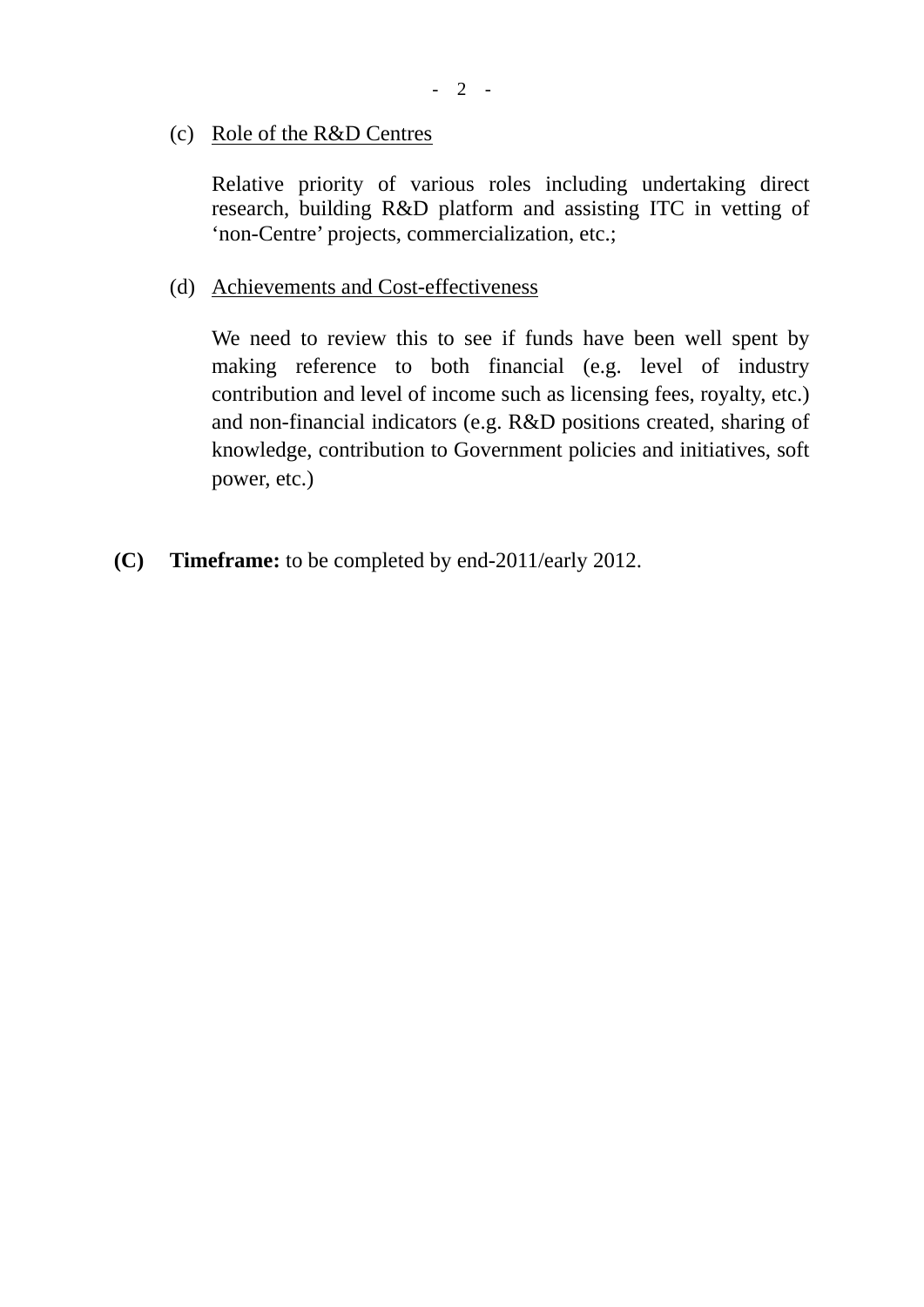(c) Role of the R&D Centres

Relative priority of various roles including undertaking direct research, building R&D platform and assisting ITC in vetting of 'non-Centre' projects, commercialization, etc.;

(d) Achievements and Cost-effectiveness

We need to review this to see if funds have been well spent by making reference to both financial (e.g. level of industry contribution and level of income such as licensing fees, royalty, etc.) and non-financial indicators (e.g. R&D positions created, sharing of knowledge, contribution to Government policies and initiatives, soft power, etc.)

**(C) Timeframe:** to be completed by end-2011/early 2012.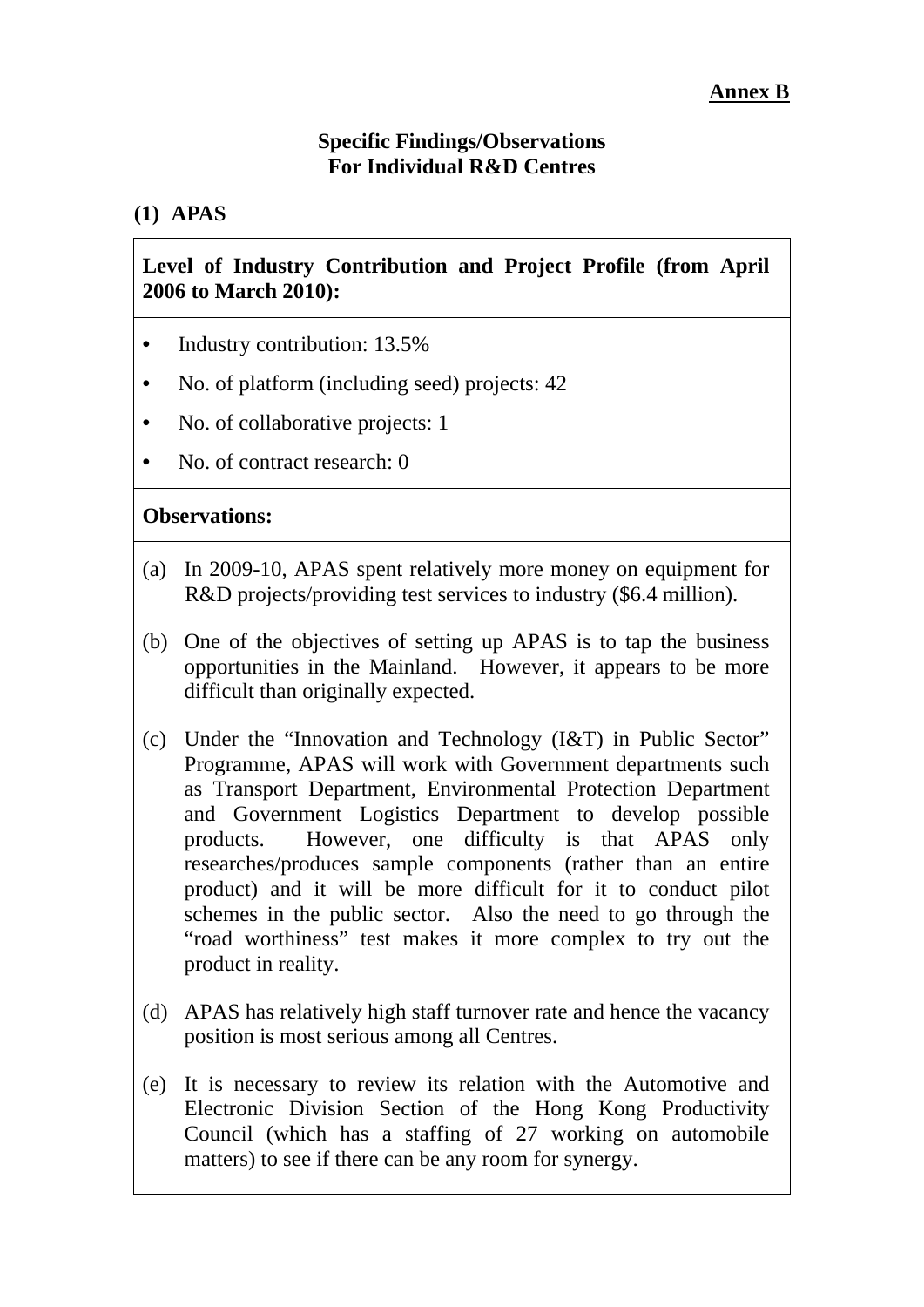### **Specific Findings/Observations For Individual R&D Centres**

# **(1) APAS**

### **Level of Industry Contribution and Project Profile (from April 2006 to March 2010):**

- Industry contribution: 13.5%
- No. of platform (including seed) projects: 42
- No. of collaborative projects: 1
- No. of contract research: 0

- (a) In 2009-10, APAS spent relatively more money on equipment for R&D projects/providing test services to industry (\$6.4 million).
- (b) One of the objectives of setting up APAS is to tap the business opportunities in the Mainland. However, it appears to be more difficult than originally expected.
- (c) Under the "Innovation and Technology (I&T) in Public Sector" Programme, APAS will work with Government departments such as Transport Department, Environmental Protection Department and Government Logistics Department to develop possible products. However, one difficulty is that APAS only researches/produces sample components (rather than an entire product) and it will be more difficult for it to conduct pilot schemes in the public sector. Also the need to go through the "road worthiness" test makes it more complex to try out the product in reality.
- (d) APAS has relatively high staff turnover rate and hence the vacancy position is most serious among all Centres.
- (e) It is necessary to review its relation with the Automotive and Electronic Division Section of the Hong Kong Productivity Council (which has a staffing of 27 working on automobile matters) to see if there can be any room for synergy.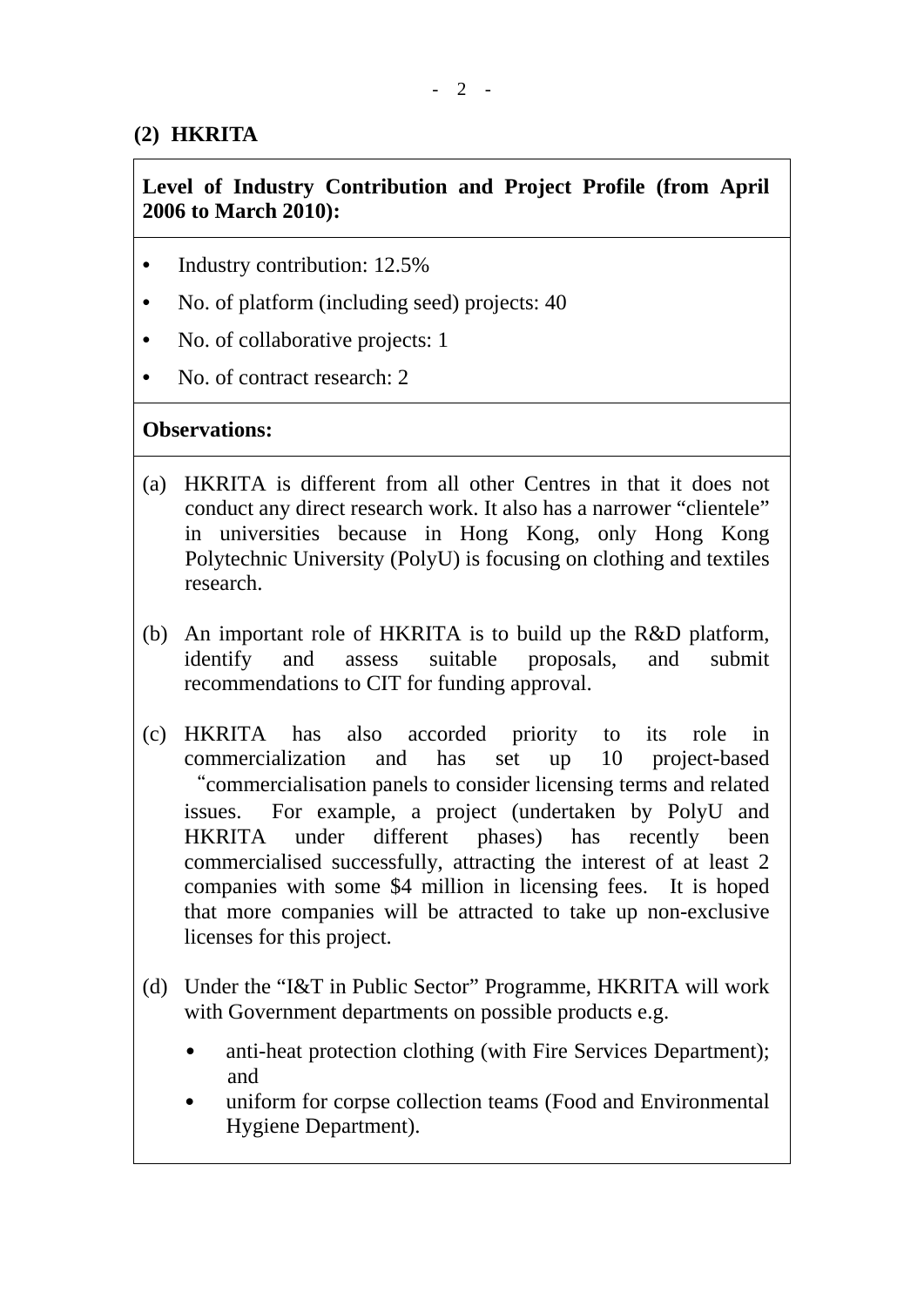# **(2) HKRITA**

# **Level of Industry Contribution and Project Profile (from April 2006 to March 2010):**

- Industry contribution: 12.5%
- No. of platform (including seed) projects: 40
- No. of collaborative projects: 1
- No. of contract research: 2

- (a) HKRITA is different from all other Centres in that it does not conduct any direct research work. It also has a narrower "clientele" in universities because in Hong Kong, only Hong Kong Polytechnic University (PolyU) is focusing on clothing and textiles research.
- (b) An important role of HKRITA is to build up the R&D platform, identify and assess suitable proposals, and submit recommendations to CIT for funding approval.
- (c) HKRITA has also accorded priority to its role in commercialization and has set up 10 project-based "commercialisation panels to consider licensing terms and related issues. For example, a project (undertaken by PolyU and HKRITA under different phases) has recently been commercialised successfully, attracting the interest of at least 2 companies with some \$4 million in licensing fees. It is hoped that more companies will be attracted to take up non-exclusive licenses for this project.
- (d) Under the "I&T in Public Sector" Programme, HKRITA will work with Government departments on possible products e.g.
	- anti-heat protection clothing (with Fire Services Department); and
	- uniform for corpse collection teams (Food and Environmental Hygiene Department).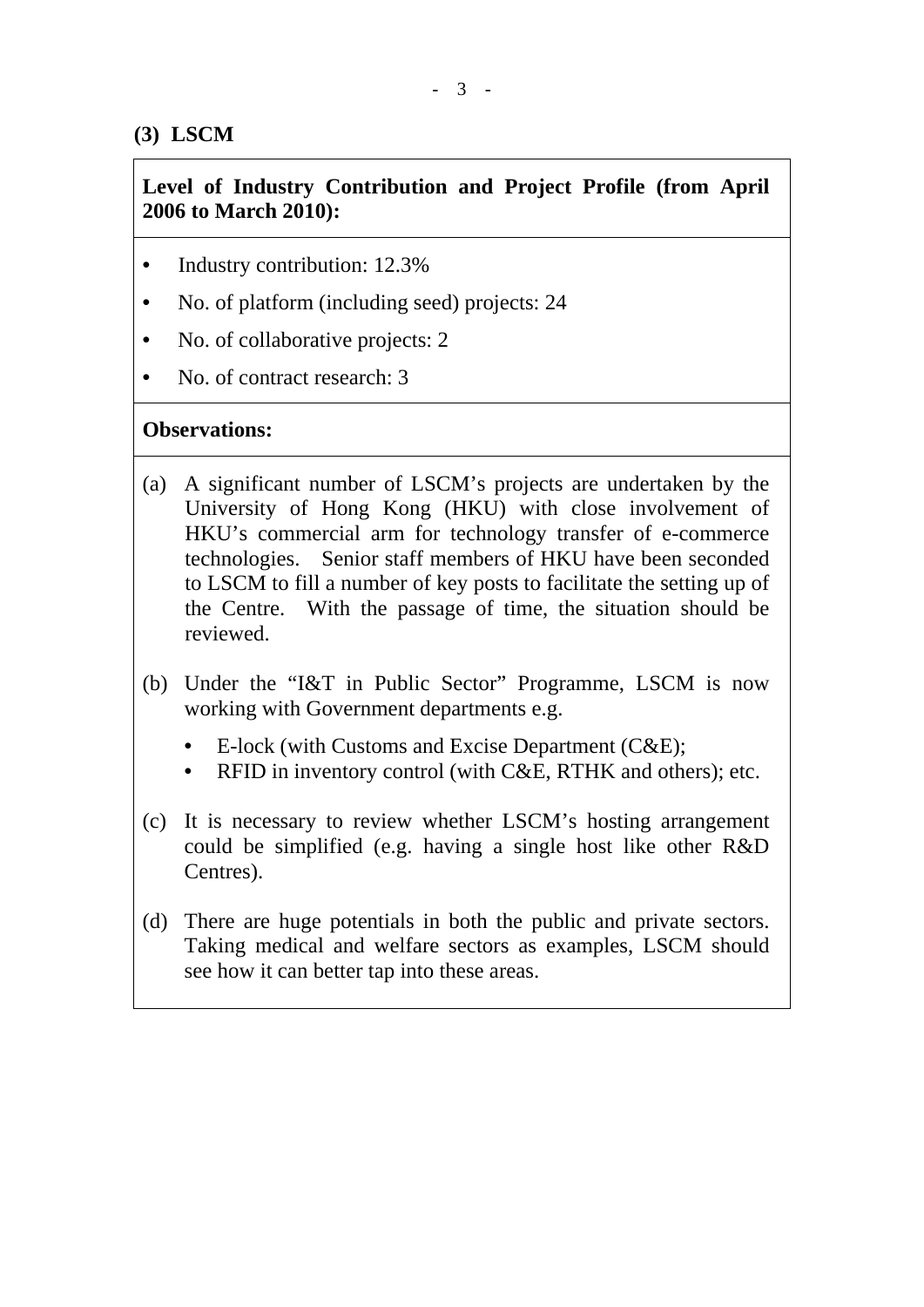# **(3) LSCM**

# **Level of Industry Contribution and Project Profile (from April 2006 to March 2010):**

- Industry contribution: 12.3%
- No. of platform (including seed) projects: 24
- No. of collaborative projects: 2
- No. of contract research: 3

- (a) A significant number of LSCM's projects are undertaken by the University of Hong Kong (HKU) with close involvement of HKU's commercial arm for technology transfer of e-commerce technologies. Senior staff members of HKU have been seconded to LSCM to fill a number of key posts to facilitate the setting up of the Centre. With the passage of time, the situation should be reviewed.
- (b) Under the "I&T in Public Sector" Programme, LSCM is now working with Government departments e.g.
	- E-lock (with Customs and Excise Department (C&E);
	- RFID in inventory control (with C&E, RTHK and others); etc.
- (c) It is necessary to review whether LSCM's hosting arrangement could be simplified (e.g. having a single host like other R&D Centres).
- (d) There are huge potentials in both the public and private sectors. Taking medical and welfare sectors as examples, LSCM should see how it can better tap into these areas.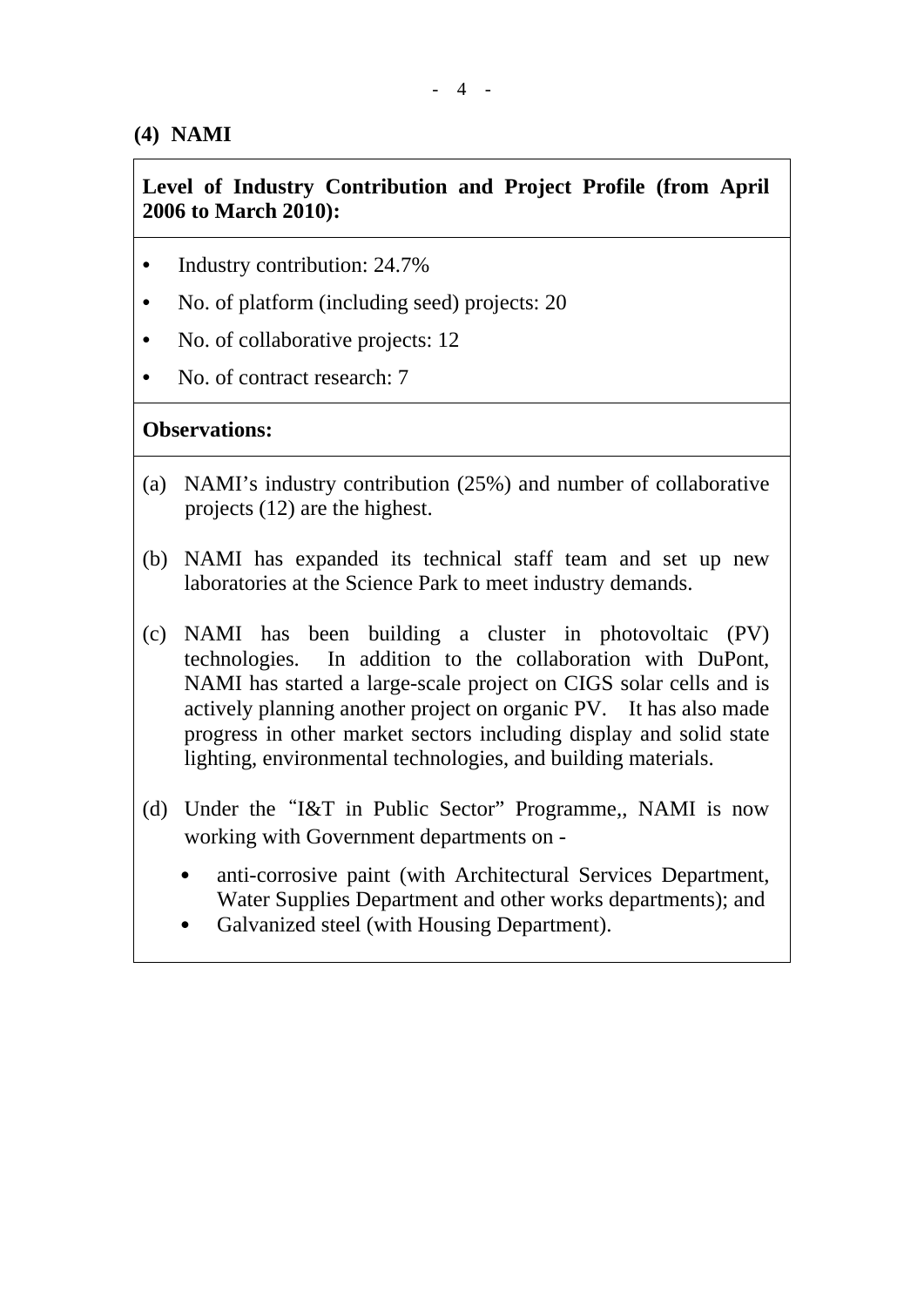# **(4) NAMI**

# **Level of Industry Contribution and Project Profile (from April 2006 to March 2010):**

- Industry contribution: 24.7%
- No. of platform (including seed) projects: 20
- No. of collaborative projects: 12
- No. of contract research: 7

- (a) NAMI's industry contribution (25%) and number of collaborative projects (12) are the highest.
- (b) NAMI has expanded its technical staff team and set up new laboratories at the Science Park to meet industry demands.
- (c) NAMI has been building a cluster in photovoltaic (PV) technologies. In addition to the collaboration with DuPont, NAMI has started a large-scale project on CIGS solar cells and is actively planning another project on organic PV. It has also made progress in other market sectors including display and solid state lighting, environmental technologies, and building materials.
- (d) Under the"I&T in Public Sector" Programme,, NAMI is now working with Government departments on
	- anti-corrosive paint (with Architectural Services Department, Water Supplies Department and other works departments); and
	- Galvanized steel (with Housing Department).